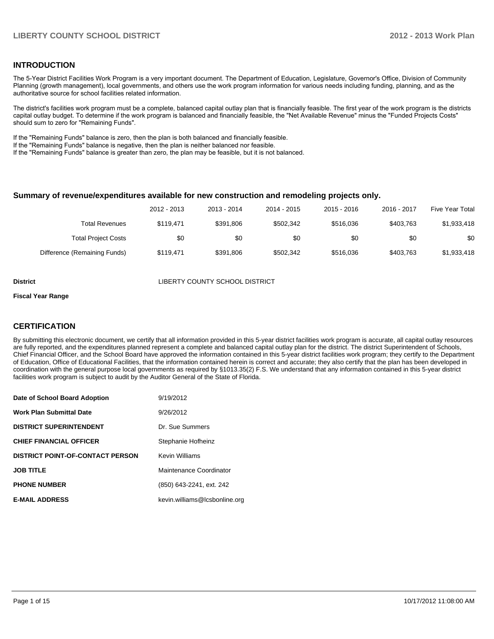#### **INTRODUCTION**

The 5-Year District Facilities Work Program is a very important document. The Department of Education, Legislature, Governor's Office, Division of Community Planning (growth management), local governments, and others use the work program information for various needs including funding, planning, and as the authoritative source for school facilities related information.

The district's facilities work program must be a complete, balanced capital outlay plan that is financially feasible. The first year of the work program is the districts capital outlay budget. To determine if the work program is balanced and financially feasible, the "Net Available Revenue" minus the "Funded Projects Costs" should sum to zero for "Remaining Funds".

If the "Remaining Funds" balance is zero, then the plan is both balanced and financially feasible.

If the "Remaining Funds" balance is negative, then the plan is neither balanced nor feasible.

If the "Remaining Funds" balance is greater than zero, the plan may be feasible, but it is not balanced.

#### **Summary of revenue/expenditures available for new construction and remodeling projects only.**

|                              | 2012 - 2013 | 2013 - 2014 | 2014 - 2015 | $2015 - 2016$ | 2016 - 2017 | Five Year Total |
|------------------------------|-------------|-------------|-------------|---------------|-------------|-----------------|
| <b>Total Revenues</b>        | \$119.471   | \$391.806   | \$502.342   | \$516,036     | \$403.763   | \$1,933,418     |
| <b>Total Project Costs</b>   | \$0         | \$0         | \$0         | \$0           | \$0         | \$0             |
| Difference (Remaining Funds) | \$119.471   | \$391.806   | \$502.342   | \$516,036     | \$403.763   | \$1,933,418     |

**District COUNTY SCHOOL DISTRICT** 

#### **Fiscal Year Range**

#### **CERTIFICATION**

By submitting this electronic document, we certify that all information provided in this 5-year district facilities work program is accurate, all capital outlay resources are fully reported, and the expenditures planned represent a complete and balanced capital outlay plan for the district. The district Superintendent of Schools, Chief Financial Officer, and the School Board have approved the information contained in this 5-year district facilities work program; they certify to the Department of Education, Office of Educational Facilities, that the information contained herein is correct and accurate; they also certify that the plan has been developed in coordination with the general purpose local governments as required by §1013.35(2) F.S. We understand that any information contained in this 5-year district facilities work program is subject to audit by the Auditor General of the State of Florida.

| Date of School Board Adoption           | 9/19/2012                     |
|-----------------------------------------|-------------------------------|
| <b>Work Plan Submittal Date</b>         | 9/26/2012                     |
| <b>DISTRICT SUPERINTENDENT</b>          | Dr. Sue Summers               |
| <b>CHIEF FINANCIAL OFFICER</b>          | Stephanie Hofheinz            |
| <b>DISTRICT POINT-OF-CONTACT PERSON</b> | <b>Kevin Williams</b>         |
| <b>JOB TITLE</b>                        | Maintenance Coordinator       |
| <b>PHONE NUMBER</b>                     | (850) 643-2241, ext. 242      |
| <b>E-MAIL ADDRESS</b>                   | kevin.williams@lcsbonline.org |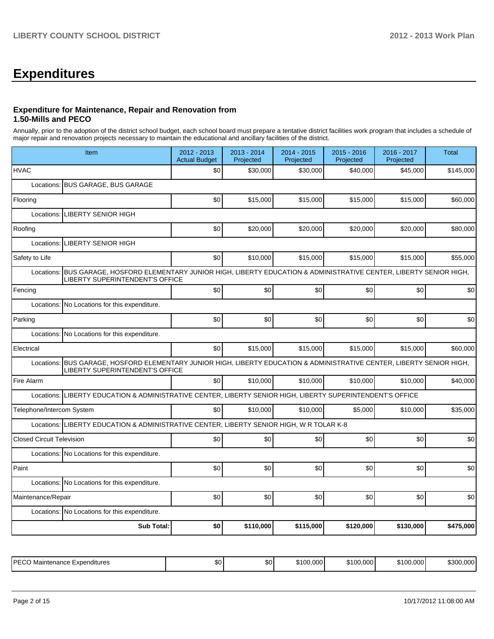# **Expenditures**

#### **Expenditure for Maintenance, Repair and Renovation from 1.50-Mills and PECO**

Annually, prior to the adoption of the district school budget, each school board must prepare a tentative district facilities work program that includes a schedule of major repair and renovation projects necessary to maintain the educational and ancillary facilities of the district.

| Item                                                                                                                                                         | 2012 - 2013<br><b>Actual Budget</b> | 2013 - 2014<br>Projected | 2014 - 2015<br>Projected | $2015 - 2016$<br>Projected | 2016 - 2017<br>Projected | <b>Total</b> |
|--------------------------------------------------------------------------------------------------------------------------------------------------------------|-------------------------------------|--------------------------|--------------------------|----------------------------|--------------------------|--------------|
| <b>HVAC</b>                                                                                                                                                  | \$0                                 | \$30,000                 | \$30,000                 | \$40,000                   | \$45,000                 | \$145,000    |
| Locations: BUS GARAGE, BUS GARAGE                                                                                                                            |                                     |                          |                          |                            |                          |              |
| Flooring                                                                                                                                                     | \$0                                 | \$15,000                 | \$15,000                 | \$15,000                   | \$15,000                 | \$60,000     |
| <b>LIBERTY SENIOR HIGH</b><br>Locations:                                                                                                                     |                                     |                          |                          |                            |                          |              |
| Roofing                                                                                                                                                      | \$0                                 | \$20,000                 | \$20,000                 | \$20,000                   | \$20,000                 | \$80,000     |
| Locations:<br>LIBERTY SENIOR HIGH                                                                                                                            |                                     |                          |                          |                            |                          |              |
| Safety to Life                                                                                                                                               | \$0                                 | \$10,000                 | \$15,000                 | \$15,000                   | \$15,000                 | \$55,000     |
| BUS GARAGE, HOSFORD ELEMENTARY JUNIOR HIGH, LIBERTY EDUCATION & ADMINISTRATIVE CENTER, LIBERTY SENIOR HIGH,<br>Locations:<br>LIBERTY SUPERINTENDENT'S OFFICE |                                     |                          |                          |                            |                          |              |
| Fencing                                                                                                                                                      | \$0                                 | \$0                      | \$0                      | \$0                        | \$0                      | \$0          |
| Locations:<br>No Locations for this expenditure.                                                                                                             |                                     |                          |                          |                            |                          |              |
| Parking                                                                                                                                                      | \$0                                 | \$0                      | \$0                      | \$0                        | \$0                      | \$0          |
| Locations: No Locations for this expenditure.                                                                                                                |                                     |                          |                          |                            |                          |              |
| Electrical                                                                                                                                                   | \$0                                 | \$15,000                 | \$15,000                 | \$15,000                   | \$15,000                 | \$60,000     |
| BUS GARAGE, HOSFORD ELEMENTARY JUNIOR HIGH, LIBERTY EDUCATION & ADMINISTRATIVE CENTER, LIBERTY SENIOR HIGH,<br>Locations:<br>LIBERTY SUPERINTENDENT'S OFFICE |                                     |                          |                          |                            |                          |              |
| Fire Alarm                                                                                                                                                   | \$0                                 | \$10,000                 | \$10,000                 | \$10,000                   | \$10,000                 | \$40,000     |
| LIBERTY EDUCATION & ADMINISTRATIVE CENTER, LIBERTY SENIOR HIGH, LIBERTY SUPERINTENDENT'S OFFICE<br>Locations:                                                |                                     |                          |                          |                            |                          |              |
| Telephone/Intercom System                                                                                                                                    | \$0                                 | \$10,000                 | \$10,000                 | \$5,000                    | \$10,000                 | \$35,000     |
| Locations: LIBERTY EDUCATION & ADMINISTRATIVE CENTER, LIBERTY SENIOR HIGH, W R TOLAR K-8                                                                     |                                     |                          |                          |                            |                          |              |
| <b>Closed Circuit Television</b>                                                                                                                             | \$0                                 | \$0                      | \$0                      | \$0                        | \$0                      | \$0          |
| Locations: No Locations for this expenditure.                                                                                                                |                                     |                          |                          |                            |                          |              |
| Paint                                                                                                                                                        | \$0                                 | \$0                      | \$0                      | \$0                        | \$0                      | \$0          |
| Locations: No Locations for this expenditure.                                                                                                                |                                     |                          |                          |                            |                          |              |
| Maintenance/Repair                                                                                                                                           | \$0                                 | \$0                      | \$0                      | \$0                        | \$0                      | \$0          |
| Locations: No Locations for this expenditure.                                                                                                                |                                     |                          |                          |                            |                          |              |
| <b>Sub Total:</b>                                                                                                                                            | \$0                                 | \$110,000                | \$115,000                | \$120,000                  | \$130,000                | \$475,000    |
|                                                                                                                                                              |                                     |                          |                          |                            |                          |              |

| <b>IPFCC</b><br>Expenditures<br>Maintenance<br>ັ∟ບບ | ጦጣ<br>טע | ሶሳ<br>JU. | 0.000<br>$\sim$<br>6 T I | .000 | .000 <sup>1</sup><br><b>0100</b><br>ו ה | ີີ້<br>າບບ |
|-----------------------------------------------------|----------|-----------|--------------------------|------|-----------------------------------------|------------|
|-----------------------------------------------------|----------|-----------|--------------------------|------|-----------------------------------------|------------|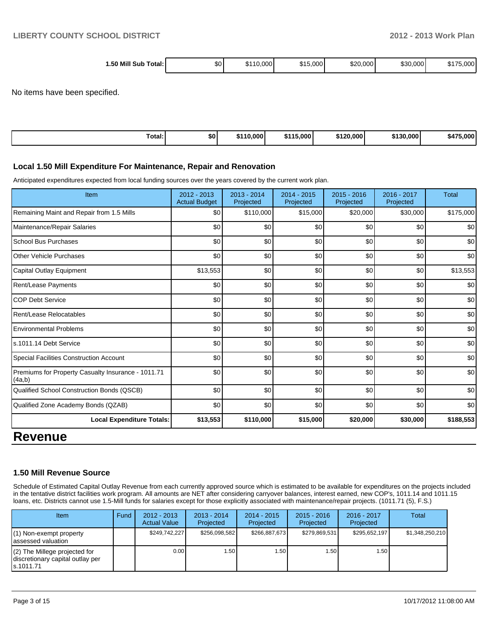| Mill Sub<br>1.50<br>Total: I | \$0 | 0.000<br>AAC<br>.ה | \$15,000 | \$20,000 | \$30,000 | $\cdots$<br>75.000<br>$\cdot$ |
|------------------------------|-----|--------------------|----------|----------|----------|-------------------------------|
|                              |     |                    |          |          |          |                               |

No items have been specified.

| Гоtal: | \$0 | \$110.000 | \$115<br><b>15.000</b> | \$120,000 | \$130,000 | 75,000<br>\$47 <sup>F</sup> |
|--------|-----|-----------|------------------------|-----------|-----------|-----------------------------|
|--------|-----|-----------|------------------------|-----------|-----------|-----------------------------|

#### **Local 1.50 Mill Expenditure For Maintenance, Repair and Renovation**

Anticipated expenditures expected from local funding sources over the years covered by the current work plan.

| Item                                                         | 2012 - 2013<br><b>Actual Budget</b> | $2013 - 2014$<br>Projected | $2014 - 2015$<br>Projected | $2015 - 2016$<br>Projected | 2016 - 2017<br>Projected | <b>Total</b> |
|--------------------------------------------------------------|-------------------------------------|----------------------------|----------------------------|----------------------------|--------------------------|--------------|
| Remaining Maint and Repair from 1.5 Mills                    | \$0                                 | \$110,000                  | \$15,000                   | \$20,000                   | \$30,000                 | \$175,000    |
| Maintenance/Repair Salaries                                  | \$0                                 | \$0                        | \$0                        | \$0                        | \$0                      | \$0          |
| <b>School Bus Purchases</b>                                  | \$0                                 | \$0                        | \$0                        | \$0                        | \$0                      | \$0          |
| <b>Other Vehicle Purchases</b>                               | \$0                                 | \$0                        | \$0                        | \$0                        | \$0                      | \$0          |
| Capital Outlay Equipment                                     | \$13,553                            | \$0                        | \$0                        | \$0                        | \$0                      | \$13,553     |
| Rent/Lease Payments                                          | \$0                                 | \$0                        | \$0                        | \$0                        | \$0                      | \$0          |
| <b>COP Debt Service</b>                                      | \$0                                 | \$0                        | \$0                        | \$0                        | \$0                      | \$0          |
| Rent/Lease Relocatables                                      | \$0                                 | \$0                        | \$0                        | \$0                        | \$0                      | \$0          |
| <b>Environmental Problems</b>                                | \$0                                 | \$0                        | \$0                        | \$0                        | \$0                      | \$0          |
| s.1011.14 Debt Service                                       | \$0                                 | \$0                        | \$0                        | \$0                        | \$0                      | \$0          |
| <b>Special Facilities Construction Account</b>               | \$0                                 | \$0                        | \$0                        | \$0                        | \$0                      | \$0          |
| Premiums for Property Casualty Insurance - 1011.71<br>(4a,b) | \$0                                 | \$0                        | \$0                        | \$0                        | \$0                      | \$0          |
| Qualified School Construction Bonds (QSCB)                   | \$0                                 | \$0                        | \$0                        | \$0                        | \$0                      | \$0          |
| Qualified Zone Academy Bonds (QZAB)                          | \$0                                 | \$0                        | \$0                        | \$0                        | \$0                      | \$0          |
| <b>Local Expenditure Totals:</b>                             | \$13,553                            | \$110,000                  | \$15,000                   | \$20,000                   | \$30,000                 | \$188,553    |
| <b>Revenue</b>                                               |                                     |                            |                            |                            |                          |              |

#### **1.50 Mill Revenue Source**

Schedule of Estimated Capital Outlay Revenue from each currently approved source which is estimated to be available for expenditures on the projects included in the tentative district facilities work program. All amounts are NET after considering carryover balances, interest earned, new COP's, 1011.14 and 1011.15 loans, etc. Districts cannot use 1.5-Mill funds for salaries except for those explicitly associated with maintenance/repair projects. (1011.71 (5), F.S.)

| Item                                                                              | Fund | $2012 - 2013$<br><b>Actual Value</b> | $2013 - 2014$<br>Projected | $2014 - 2015$<br>Projected | $2015 - 2016$<br>Projected | $2016 - 2017$<br>Projected | Total           |
|-----------------------------------------------------------------------------------|------|--------------------------------------|----------------------------|----------------------------|----------------------------|----------------------------|-----------------|
| $(1)$ Non-exempt property<br>lassessed valuation                                  |      | \$249.742.227                        | \$256.098.582              | \$266.887.673              | \$279,869,531              | \$295.652.197              | \$1,348,250,210 |
| $(2)$ The Millege projected for<br>discretionary capital outlay per<br>ls.1011.71 |      | 0.00                                 | 1.50 I                     | l .50 l                    | ا 50.،                     | 1.50 l                     |                 |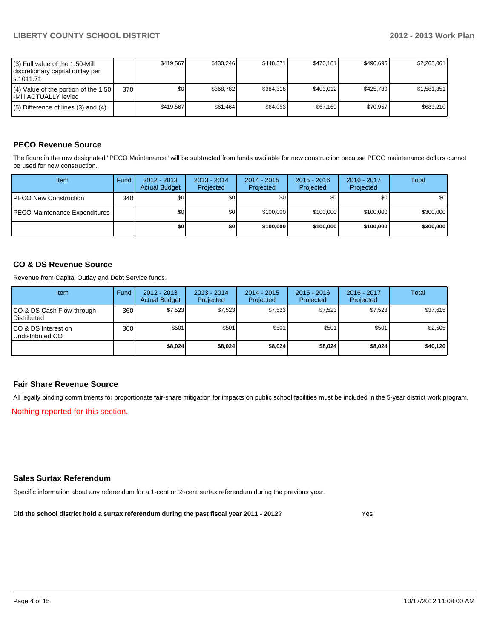| $(3)$ Full value of the 1.50-Mill<br>discretionary capital outlay per<br>ls.1011.71 |       | \$419.567 | \$430.246 | \$448.371 | \$470.181 | \$496.696 | \$2.265.061 |
|-------------------------------------------------------------------------------------|-------|-----------|-----------|-----------|-----------|-----------|-------------|
| $(4)$ Value of the portion of the 1.50<br>I-Mill ACTUALLY levied                    | 370 l | \$O I     | \$368.782 | \$384.318 | \$403.012 | \$425.739 | \$1,581,851 |
| $(5)$ Difference of lines $(3)$ and $(4)$                                           |       | \$419.567 | \$61.464  | \$64.053  | \$67.169  | \$70.957  | \$683.210   |

#### **PECO Revenue Source**

The figure in the row designated "PECO Maintenance" will be subtracted from funds available for new construction because PECO maintenance dollars cannot be used for new construction.

| Item                                  | Fund             | $2012 - 2013$<br><b>Actual Budget</b> | $2013 - 2014$<br>Projected | 2014 - 2015<br>Projected | $2015 - 2016$<br>Projected | 2016 - 2017<br>Projected | Total     |
|---------------------------------------|------------------|---------------------------------------|----------------------------|--------------------------|----------------------------|--------------------------|-----------|
| <b>IPECO New Construction</b>         | 340 <sup>l</sup> | \$0                                   | \$0                        | \$0 <sub>1</sub>         | \$0 <sub>0</sub>           | \$0                      | \$0       |
| <b>IPECO Maintenance Expenditures</b> |                  | \$0 <sub>1</sub>                      | \$0 <sub>1</sub>           | \$100,000                | \$100,000                  | \$100,000                | \$300,000 |
|                                       |                  | \$0                                   | \$0                        | \$100,000                | \$100,000                  | \$100,000                | \$300,000 |

#### **CO & DS Revenue Source**

Revenue from Capital Outlay and Debt Service funds.

| Item                                               | Fund | $2012 - 2013$<br><b>Actual Budget</b> | $2013 - 2014$<br>Projected | $2014 - 2015$<br>Projected | $2015 - 2016$<br>Projected | $2016 - 2017$<br>Projected | Total    |
|----------------------------------------------------|------|---------------------------------------|----------------------------|----------------------------|----------------------------|----------------------------|----------|
| ICO & DS Cash Flow-through<br><b>I</b> Distributed | 360  | \$7,523                               | \$7,523                    | \$7,523                    | \$7,523                    | \$7,523                    | \$37,615 |
| ICO & DS Interest on<br>Undistributed CO           | 360  | \$501                                 | \$501                      | \$501                      | \$501                      | \$501                      | \$2,505  |
|                                                    |      | \$8,024                               | \$8,024                    | \$8,024                    | \$8,024                    | \$8,024                    | \$40,120 |

#### **Fair Share Revenue Source**

All legally binding commitments for proportionate fair-share mitigation for impacts on public school facilities must be included in the 5-year district work program.

Nothing reported for this section.

#### **Sales Surtax Referendum**

Specific information about any referendum for a 1-cent or ½-cent surtax referendum during the previous year.

**Did the school district hold a surtax referendum during the past fiscal year 2011 - 2012?**

Yes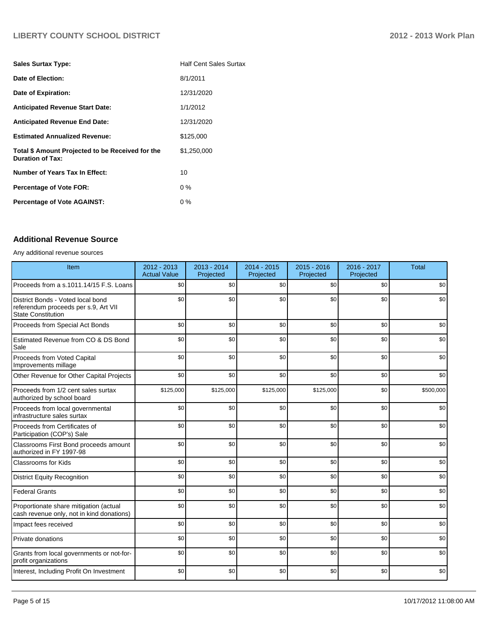### **LIBERTY COUNTY SCHOOL DISTRICT 2012 - 2013 Work Plan**

| <b>Sales Surtax Type:</b>                                                   | <b>Half Cent Sales Surtax</b> |
|-----------------------------------------------------------------------------|-------------------------------|
| Date of Election:                                                           | 8/1/2011                      |
| Date of Expiration:                                                         | 12/31/2020                    |
| <b>Anticipated Revenue Start Date:</b>                                      | 1/1/2012                      |
| <b>Anticipated Revenue End Date:</b>                                        | 12/31/2020                    |
| <b>Estimated Annualized Revenue:</b>                                        | \$125,000                     |
| Total \$ Amount Projected to be Received for the<br><b>Duration of Tax:</b> | \$1,250,000                   |
| <b>Number of Years Tax In Effect:</b>                                       | 10                            |
| <b>Percentage of Vote FOR:</b>                                              | $0\%$                         |
| <b>Percentage of Vote AGAINST:</b>                                          | $0\%$                         |

#### **Additional Revenue Source**

#### Any additional revenue sources

| Item                                                                                            | 2012 - 2013<br><b>Actual Value</b> | 2013 - 2014<br>Projected | $2014 - 2015$<br>Projected | $2015 - 2016$<br>Projected | 2016 - 2017<br>Projected | <b>Total</b> |
|-------------------------------------------------------------------------------------------------|------------------------------------|--------------------------|----------------------------|----------------------------|--------------------------|--------------|
| Proceeds from a s.1011.14/15 F.S. Loans                                                         | \$0                                | \$0                      | \$0                        | \$0                        | \$0                      | \$0          |
| District Bonds - Voted local bond<br>referendum proceeds per s.9, Art VII<br>State Constitution | \$0                                | \$0                      | \$0                        | \$0                        | \$0                      | \$0          |
| Proceeds from Special Act Bonds                                                                 | \$0                                | \$0                      | \$0                        | \$0                        | \$0                      | \$0          |
| Estimated Revenue from CO & DS Bond<br>Sale                                                     | \$0                                | \$0                      | \$0                        | \$0                        | \$0                      | \$0          |
| <b>Proceeds from Voted Capital</b><br>Improvements millage                                      | \$0                                | \$0                      | \$0                        | \$0                        | \$0                      | \$0          |
| Other Revenue for Other Capital Projects                                                        | \$0                                | \$0                      | \$0                        | \$0                        | \$0                      | \$0          |
| Proceeds from 1/2 cent sales surtax<br>authorized by school board                               | \$125,000                          | \$125,000                | \$125,000                  | \$125,000                  | \$0                      | \$500,000    |
| Proceeds from local governmental<br>infrastructure sales surtax                                 | \$0                                | \$0                      | \$0                        | \$0                        | \$0                      | \$0          |
| Proceeds from Certificates of<br>Participation (COP's) Sale                                     | \$0                                | \$0                      | \$0                        | \$0                        | \$0                      | \$0          |
| Classrooms First Bond proceeds amount<br>authorized in FY 1997-98                               | \$0                                | \$0                      | \$0                        | \$0                        | \$0                      | \$0          |
| <b>Classrooms for Kids</b>                                                                      | \$0                                | \$0                      | \$0                        | \$0                        | \$0                      | \$0          |
| <b>District Equity Recognition</b>                                                              | \$0                                | \$0                      | \$0                        | \$0                        | \$0                      | \$0          |
| <b>Federal Grants</b>                                                                           | \$0                                | \$0                      | \$0                        | \$0                        | \$0                      | \$0          |
| Proportionate share mitigation (actual<br>cash revenue only, not in kind donations)             | \$0                                | \$0                      | \$0                        | \$0                        | \$0                      | \$0          |
| Impact fees received                                                                            | \$0                                | \$0                      | \$0                        | \$0                        | \$0                      | \$0          |
| <b>Private donations</b>                                                                        | \$0                                | \$0                      | \$0                        | \$0                        | \$0                      | \$0          |
| Grants from local governments or not-for-<br>profit organizations                               | \$0                                | \$0                      | \$0                        | \$0                        | \$0                      | \$0          |
| Interest, Including Profit On Investment                                                        | \$0                                | \$0                      | \$0                        | \$0                        | \$0                      | \$0          |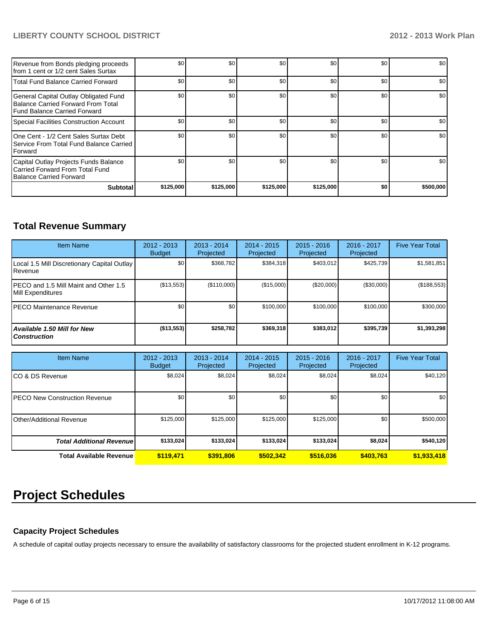### **LIBERTY COUNTY SCHOOL DISTRICT 2012 - 2013 Work Plan**

| Revenue from Bonds pledging proceeds<br>Ifrom 1 cent or 1/2 cent Sales Surtax                               | \$0       | \$0       | \$0       | \$0       | \$0 | \$0       |
|-------------------------------------------------------------------------------------------------------------|-----------|-----------|-----------|-----------|-----|-----------|
| Total Fund Balance Carried Forward                                                                          | \$0       | \$0       | \$0       | \$0       | \$0 | \$0       |
| General Capital Outlay Obligated Fund<br>Balance Carried Forward From Total<br>Fund Balance Carried Forward | \$0       | \$0       | \$0       | \$0       | \$0 | \$0       |
| Special Facilities Construction Account                                                                     | \$0       | \$0       | \$0       | \$0       | \$0 | \$0       |
| One Cent - 1/2 Cent Sales Surtax Debt<br>Service From Total Fund Balance Carried<br><b>IForward</b>         | \$0       | \$0       | \$0       | \$0       | \$0 | \$0       |
| Capital Outlay Projects Funds Balance<br>Carried Forward From Total Fund<br>Balance Carried Forward         | \$0       | \$0       | \$0       | \$0       | \$0 | \$0       |
| <b>Subtotal</b>                                                                                             | \$125,000 | \$125,000 | \$125,000 | \$125,000 | \$0 | \$500,000 |

### **Total Revenue Summary**

| <b>Item Name</b>                                                | 2012 - 2013<br><b>Budget</b> | $2013 - 2014$<br>Projected | 2014 - 2015<br>Projected | $2015 - 2016$<br>Projected | $2016 - 2017$<br>Projected | <b>Five Year Total</b> |
|-----------------------------------------------------------------|------------------------------|----------------------------|--------------------------|----------------------------|----------------------------|------------------------|
| Local 1.5 Mill Discretionary Capital Outlay<br><b>I</b> Revenue | \$0                          | \$368.782                  | \$384.318                | \$403.012                  | \$425.739                  | \$1,581,851            |
| IPECO and 1.5 Mill Maint and Other 1.5<br>Mill Expenditures     | (\$13,553)                   | (\$110,000)                | (\$15,000)               | (\$20,000)                 | (\$30,000)                 | (\$188,553)            |
| <b>IPECO Maintenance Revenue</b>                                | \$0                          | \$0                        | \$100,000                | \$100,000                  | \$100,000                  | \$300,000              |
| Available 1.50 Mill for New<br>l Construction                   | ( \$13,553)                  | \$258,782                  | \$369.318                | \$383,012                  | \$395.739                  | \$1,393,298            |

| <b>Item Name</b>                      | $2012 - 2013$<br><b>Budget</b> | $2013 - 2014$<br>Projected | 2014 - 2015<br>Projected | $2015 - 2016$<br>Projected | 2016 - 2017<br>Projected | <b>Five Year Total</b> |
|---------------------------------------|--------------------------------|----------------------------|--------------------------|----------------------------|--------------------------|------------------------|
| ICO & DS Revenue                      | \$8,024                        | \$8,024                    | \$8,024                  | \$8,024                    | \$8,024                  | \$40,120               |
| <b>IPECO New Construction Revenue</b> | \$0                            | \$0 <sub>1</sub>           | \$0                      | \$0 <sub>1</sub>           | \$0                      | \$0 <sub>1</sub>       |
| Other/Additional Revenue              | \$125,000                      | \$125,000                  | \$125,000                | \$125,000                  | \$0                      | \$500,000              |
| <b>Total Additional Revenuel</b>      | \$133,024                      | \$133,024                  | \$133,024                | \$133,024                  | \$8,024                  | \$540,120              |
| <b>Total Available Revenue</b>        | \$119.471                      | \$391,806                  | \$502.342                | \$516,036                  | \$403.763                | \$1,933,418            |

# **Project Schedules**

#### **Capacity Project Schedules**

A schedule of capital outlay projects necessary to ensure the availability of satisfactory classrooms for the projected student enrollment in K-12 programs.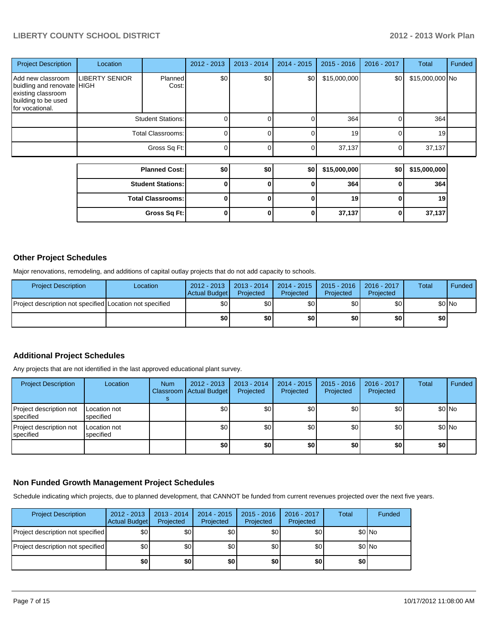### **LIBERTY COUNTY SCHOOL DISTRICT 2012 - 2013 Work Plan**

| <b>Project Description</b>                                                                                      | Location              |                          | $2012 - 2013$ | $2013 - 2014$ | $2014 - 2015$ | $2015 - 2016$ | 2016 - 2017 | Total           | Funded |
|-----------------------------------------------------------------------------------------------------------------|-----------------------|--------------------------|---------------|---------------|---------------|---------------|-------------|-----------------|--------|
| Add new classroom<br>buidling and renovate HIGH<br>existing classroom<br>building to be used<br>for vocational. | <b>LIBERTY SENIOR</b> | <b>Planned</b><br>Cost:  | \$0           | \$0           | \$0           | \$15,000,000  | \$0         | \$15,000,000 No |        |
|                                                                                                                 |                       | <b>Student Stations:</b> |               |               |               | 364           | $\Omega$    | 364             |        |
|                                                                                                                 | Total Classrooms:     |                          | ი             |               | 0             | 19            | $\Omega$    | 19              |        |
|                                                                                                                 |                       | Gross Sq Ft:             |               |               |               | 37,137        | $\Omega$    | 37,137          |        |
|                                                                                                                 |                       | <b>Planned Cost:</b>     | \$0           | \$0           | \$0           | \$15,000,000  | \$0         | \$15,000,000    |        |
|                                                                                                                 |                       | <b>Student Stations:</b> | $\bf{0}$      | 0             | 0             | 364           | 0           | 364             |        |
|                                                                                                                 |                       |                          |               |               |               |               |             |                 |        |
|                                                                                                                 |                       | <b>Total Classrooms:</b> | 0             | ŋ             | 0             | 19            | 0           | 19              |        |
|                                                                                                                 |                       | Gross Sq Ft:             | 0             | 0             | 0             | 37,137        | 0           | 37,137          |        |

#### **Other Project Schedules**

Major renovations, remodeling, and additions of capital outlay projects that do not add capacity to schools.

| <b>Project Description</b>                               | Location | 2012 - 2013   2013 - 2014<br>Actual Budget | Projected | Projected | 2014 - 2015   2015 - 2016  <br>Projected | 2016 - 2017<br>Projected | Total  | <b>Funded</b> |
|----------------------------------------------------------|----------|--------------------------------------------|-----------|-----------|------------------------------------------|--------------------------|--------|---------------|
| Project description not specified Location not specified |          | \$0 I                                      | \$0 I     | \$0 I     | \$O I                                    | \$٥١                     | \$0 No |               |
|                                                          |          | \$0                                        | \$0 I     | ا 30      | \$0 l                                    | \$0                      | \$٥١   |               |

#### **Additional Project Schedules**

Any projects that are not identified in the last approved educational plant survey.

| <b>Project Description</b>           | Location                  | <b>Num</b> | $2012 - 2013$<br>Classroom   Actual Budget | $2013 - 2014$<br>Projected | $2014 - 2015$<br>Projected | $2015 - 2016$<br>Projected | 2016 - 2017<br>Projected | Total | Funded  |
|--------------------------------------|---------------------------|------------|--------------------------------------------|----------------------------|----------------------------|----------------------------|--------------------------|-------|---------|
| Project description not<br>specified | Location not<br>specified |            | \$0                                        | \$0 <sub>1</sub>           | \$0                        | \$0 <sub>1</sub>           | \$0                      |       | \$0 No  |
| Project description not<br>specified | Location not<br>specified |            | \$0 <sub>1</sub>                           | \$0                        | \$0                        | \$0                        | \$0                      |       | $$0$ No |
|                                      |                           |            | \$0                                        | \$0                        | \$0                        | \$0                        | \$0                      | \$0   |         |

#### **Non Funded Growth Management Project Schedules**

Schedule indicating which projects, due to planned development, that CANNOT be funded from current revenues projected over the next five years.

| <b>Project Description</b>        | $2012 - 2013$<br>Actual Budget | $2013 - 2014$<br>Projected | $2014 - 2015$<br>Projected | $2015 - 2016$<br>Projected | 2016 - 2017<br>Projected | <b>Total</b> | Funded |
|-----------------------------------|--------------------------------|----------------------------|----------------------------|----------------------------|--------------------------|--------------|--------|
| Project description not specified | \$0                            | \$0                        | \$٥Ι                       | \$0                        | \$0 <sub>1</sub>         |              | \$0 No |
| Project description not specified | \$0                            | \$0                        | \$٥Ι                       | \$0                        | \$0 <sub>1</sub>         |              | \$0 No |
|                                   | \$0                            | \$0                        | \$0                        | \$0                        | \$0                      | \$0          |        |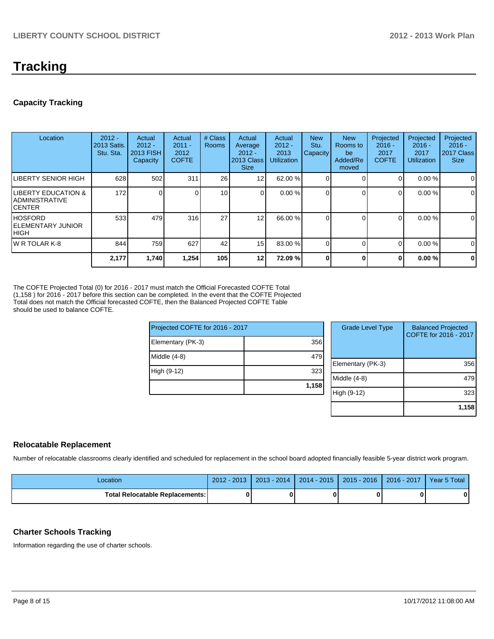### **Tracking**

#### **Capacity Tracking**

| Location                                                            | $2012 -$<br>2013 Satis.<br>Stu. Sta. | Actual<br>$2012 -$<br>2013 FISH<br>Capacity | Actual<br>$2011 -$<br>2012<br><b>COFTE</b> | # Class<br><b>Rooms</b> | Actual<br>Average<br>$2012 -$<br>2013 Class<br><b>Size</b> | Actual<br>$2012 -$<br>2013<br><b>Utilization</b> | <b>New</b><br>Stu.<br><b>Capacity</b> | <b>New</b><br>Rooms to<br>be<br>Added/Re<br>moved | Projected<br>$2016 -$<br>2017<br><b>COFTE</b> | Projected<br>$2016 -$<br>2017<br><b>Utilization</b> | Projected<br>$2016 -$<br>2017 Class<br><b>Size</b> |
|---------------------------------------------------------------------|--------------------------------------|---------------------------------------------|--------------------------------------------|-------------------------|------------------------------------------------------------|--------------------------------------------------|---------------------------------------|---------------------------------------------------|-----------------------------------------------|-----------------------------------------------------|----------------------------------------------------|
| <b>LIBERTY SENIOR HIGH</b>                                          | 628                                  | 502                                         | 311                                        | 26                      | 12 <sub>1</sub>                                            | 62.00 %                                          |                                       |                                                   | 0                                             | 0.00%                                               | $\mathbf 0$                                        |
| <b>LIBERTY EDUCATION &amp;</b><br>IADMINISTRATIVE<br><b>ICENTER</b> | 172                                  |                                             |                                            | 10 <sup>1</sup>         | $\Omega$                                                   | 0.00%                                            |                                       |                                                   | $\Omega$                                      | 0.00%                                               | $\mathbf 0$                                        |
| IHOSFORD<br><b>IELEMENTARY JUNIOR</b><br>Ініgн                      | 533                                  | 479                                         | 316                                        | 27                      | 12                                                         | 66.00 %                                          |                                       |                                                   | $\Omega$                                      | 0.00%                                               | 0                                                  |
| IW R TOLAR K-8                                                      | 844                                  | 759                                         | 627                                        | 42                      | 15 <sup>1</sup>                                            | 83.00 %                                          |                                       |                                                   | $\Omega$                                      | 0.00%                                               | 0                                                  |
|                                                                     | 2,177                                | 1,740                                       | 1,254                                      | 105                     | 12                                                         | 72.09 %                                          |                                       | O                                                 | $\bf{0}$                                      | 0.00%                                               | $\mathbf 0$                                        |

The COFTE Projected Total (0) for 2016 - 2017 must match the Official Forecasted COFTE Total (1,158 ) for 2016 - 2017 before this section can be completed. In the event that the COFTE Projected Total does not match the Official forecasted COFTE, then the Balanced Projected COFTE Table should be used to balance COFTE.

| Projected COFTE for 2016 - 2017 |       | <b>Grade Level Type</b> | <b>Balanced Projected</b><br>COFTE for 2016 - 2017 |
|---------------------------------|-------|-------------------------|----------------------------------------------------|
| Elementary (PK-3)               | 356   |                         |                                                    |
| Middle (4-8)                    | 479   |                         |                                                    |
|                                 |       | Elementary (PK-3)       | 356                                                |
| High (9-12)                     | 323   |                         |                                                    |
|                                 |       | Middle (4-8)            | 479                                                |
|                                 | 1,158 |                         |                                                    |
|                                 |       | High (9-12)             | 323                                                |
|                                 |       |                         |                                                    |

#### **Relocatable Replacement**

Number of relocatable classrooms clearly identified and scheduled for replacement in the school board adopted financially feasible 5-year district work program.

| Location                               | $2012 - 2013$ | 2013 - 2014 | $2014 - 2015$ | 2015 - 2016 1 2016 - 2017 | Year 5 Total |
|----------------------------------------|---------------|-------------|---------------|---------------------------|--------------|
| <b>Total Relocatable Replacements:</b> |               |             |               |                           |              |

#### **Charter Schools Tracking**

Information regarding the use of charter schools.

**1,158**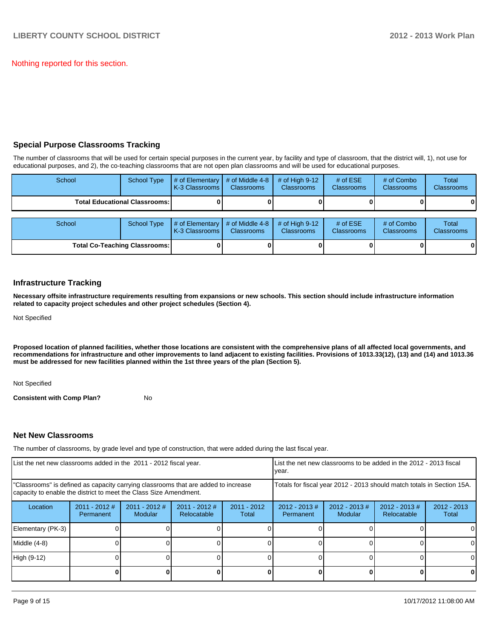Nothing reported for this section.

#### **Special Purpose Classrooms Tracking**

The number of classrooms that will be used for certain special purposes in the current year, by facility and type of classroom, that the district will, 1), not use for educational purposes, and 2), the co-teaching classrooms that are not open plan classrooms and will be used for educational purposes.

| School                               | <b>School Type</b>                     | # of Elementary<br>K-3 Classrooms | # of Middle 4-8<br><b>Classrooms</b> | # of High $9-12$<br><b>Classrooms</b> | # of $ESE$<br>Classrooms        | # of Combo<br><b>Classrooms</b> | Total<br><b>Classrooms</b> |
|--------------------------------------|----------------------------------------|-----------------------------------|--------------------------------------|---------------------------------------|---------------------------------|---------------------------------|----------------------------|
|                                      | <b>Total Educational Classrooms: I</b> |                                   |                                      |                                       |                                 |                                 | 01                         |
| School                               | <b>School Type</b>                     | # of Elementary<br>K-3 Classrooms | # of Middle 4-8<br><b>Classrooms</b> | # of High $9-12$<br><b>Classrooms</b> | # of $ESE$<br><b>Classrooms</b> | # of Combo<br><b>Classrooms</b> | Total<br><b>Classrooms</b> |
| <b>Total Co-Teaching Classrooms:</b> |                                        |                                   |                                      |                                       |                                 |                                 | 01                         |

#### **Infrastructure Tracking**

**Necessary offsite infrastructure requirements resulting from expansions or new schools. This section should include infrastructure information related to capacity project schedules and other project schedules (Section 4).**

Not Specified

**Proposed location of planned facilities, whether those locations are consistent with the comprehensive plans of all affected local governments, and recommendations for infrastructure and other improvements to land adjacent to existing facilities. Provisions of 1013.33(12), (13) and (14) and 1013.36 must be addressed for new facilities planned within the 1st three years of the plan (Section 5).**

Not Specified

**Consistent with Comp Plan?** No

#### **Net New Classrooms**

The number of classrooms, by grade level and type of construction, that were added during the last fiscal year.

| List the net new classrooms added in the 2011 - 2012 fiscal year.                                                                                       |                              |                            |                                |                        | List the net new classrooms to be added in the 2012 - 2013 fiscal<br>Ivear.                    |  |  |                        |
|---------------------------------------------------------------------------------------------------------------------------------------------------------|------------------------------|----------------------------|--------------------------------|------------------------|------------------------------------------------------------------------------------------------|--|--|------------------------|
| "Classrooms" is defined as capacity carrying classrooms that are added to increase<br>capacity to enable the district to meet the Class Size Amendment. |                              |                            |                                |                        | Totals for fiscal year 2012 - 2013 should match totals in Section 15A.                         |  |  |                        |
| Location                                                                                                                                                | $2011 - 2012$ #<br>Permanent | $2011 - 2012$ #<br>Modular | $2011 - 2012$ #<br>Relocatable | $2011 - 2012$<br>Total | $2012 - 2013$ #<br>$2012 - 2013 \#$<br>$2012 - 2013 \#$<br>Modular<br>Relocatable<br>Permanent |  |  | $2012 - 2013$<br>Total |
| Elementary (PK-3)                                                                                                                                       |                              |                            |                                |                        |                                                                                                |  |  | $\Omega$               |
| Middle (4-8)                                                                                                                                            |                              |                            |                                |                        |                                                                                                |  |  | $\Omega$               |
| High (9-12)                                                                                                                                             |                              |                            |                                |                        |                                                                                                |  |  | 0                      |
|                                                                                                                                                         |                              |                            |                                |                        |                                                                                                |  |  | 0                      |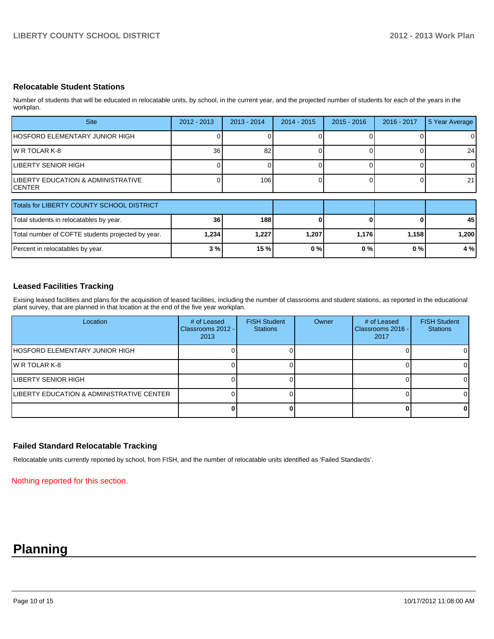#### **Relocatable Student Stations**

Number of students that will be educated in relocatable units, by school, in the current year, and the projected number of students for each of the years in the workplan.

| <b>Site</b>                                               | $2012 - 2013$ | $2013 - 2014$ | $2014 - 2015$ | $2015 - 2016$ | 2016 - 2017 | 5 Year Average |
|-----------------------------------------------------------|---------------|---------------|---------------|---------------|-------------|----------------|
| IHOSFORD ELEMENTARY JUNIOR HIGH                           |               |               |               |               |             | 0              |
| IW R TOLAR K-8                                            | 36            | 82            |               |               |             | 24             |
| LIBERTY SENIOR HIGH                                       |               |               |               |               |             | $\Omega$       |
| <b>ILIBERTY EDUCATION &amp; ADMINISTRATIVE</b><br>ICENTER |               | 106           |               |               |             | 21             |

| Totals for LIBERTY COUNTY SCHOOL DISTRICT         |                 |       |       |       |       |      |
|---------------------------------------------------|-----------------|-------|-------|-------|-------|------|
| Total students in relocatables by year.           | 36 <sup>l</sup> | 188   |       |       |       | 45   |
| Total number of COFTE students projected by year. | 1,234           | 1,227 | 1.207 | 1.176 | 1.158 | .200 |
| Percent in relocatables by year.                  | 3 %l            | 15%   | 0%    | 0 % I | 0 % l | 4 %  |

#### **Leased Facilities Tracking**

Exising leased facilities and plans for the acquisition of leased facilities, including the number of classrooms and student stations, as reported in the educational plant survey, that are planned in that location at the end of the five year workplan.

| Location                                   | # of Leased<br>Classrooms 2012 - I<br>2013 | <b>FISH Student</b><br><b>Stations</b> | Owner | # of Leased<br>Classrooms 2016 -<br>2017 | <b>FISH Student</b><br><b>Stations</b> |
|--------------------------------------------|--------------------------------------------|----------------------------------------|-------|------------------------------------------|----------------------------------------|
| <b>IHOSFORD ELEMENTARY JUNIOR HIGH</b>     |                                            |                                        |       |                                          | $\Omega$                               |
| IW R TOLAR K-8                             |                                            |                                        |       |                                          | $\overline{0}$                         |
| ILIBERTY SENIOR HIGH                       |                                            |                                        |       |                                          | $\Omega$                               |
| ILIBERTY EDUCATION & ADMINISTRATIVE CENTER |                                            |                                        |       |                                          | $\Omega$                               |
|                                            |                                            |                                        |       |                                          | 0                                      |

#### **Failed Standard Relocatable Tracking**

Relocatable units currently reported by school, from FISH, and the number of relocatable units identified as 'Failed Standards'.

Nothing reported for this section.

### **Planning**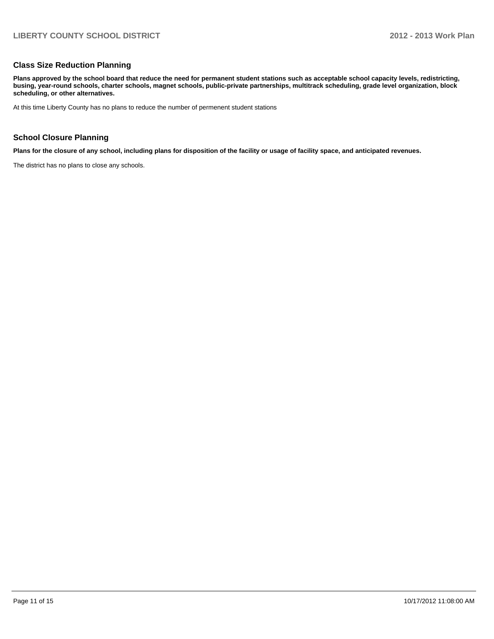#### **Class Size Reduction Planning**

**Plans approved by the school board that reduce the need for permanent student stations such as acceptable school capacity levels, redistricting, busing, year-round schools, charter schools, magnet schools, public-private partnerships, multitrack scheduling, grade level organization, block scheduling, or other alternatives.**

At this time Liberty County has no plans to reduce the number of permenent student stations

#### **School Closure Planning**

**Plans for the closure of any school, including plans for disposition of the facility or usage of facility space, and anticipated revenues.**

The district has no plans to close any schools.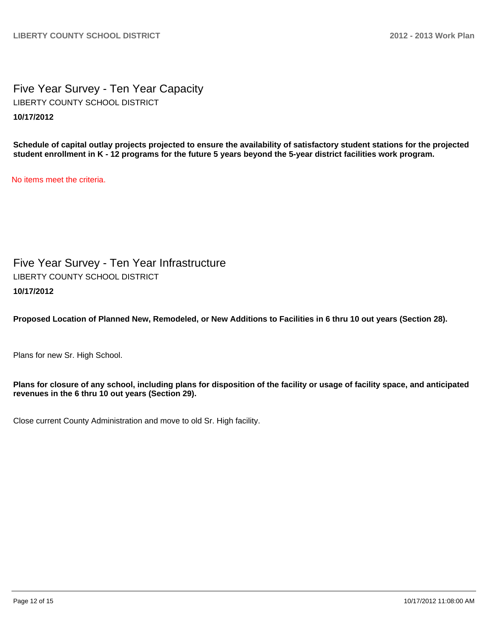Five Year Survey - Ten Year Capacity **10/17/2012** LIBERTY COUNTY SCHOOL DISTRICT

**Schedule of capital outlay projects projected to ensure the availability of satisfactory student stations for the projected student enrollment in K - 12 programs for the future 5 years beyond the 5-year district facilities work program.**

No items meet the criteria.

Five Year Survey - Ten Year Infrastructure **10/17/2012** LIBERTY COUNTY SCHOOL DISTRICT

**Proposed Location of Planned New, Remodeled, or New Additions to Facilities in 6 thru 10 out years (Section 28).**

Plans for new Sr. High School.

**Plans for closure of any school, including plans for disposition of the facility or usage of facility space, and anticipated revenues in the 6 thru 10 out years (Section 29).**

Close current County Administration and move to old Sr. High facility.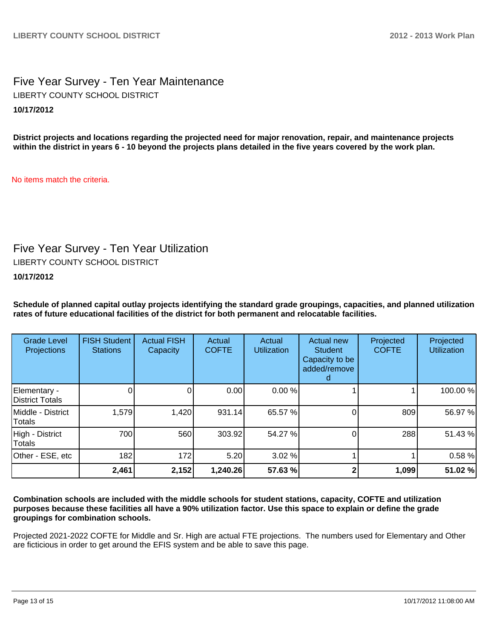Five Year Survey - Ten Year Maintenance **10/17/2012** LIBERTY COUNTY SCHOOL DISTRICT

**District projects and locations regarding the projected need for major renovation, repair, and maintenance projects within the district in years 6 - 10 beyond the projects plans detailed in the five years covered by the work plan.**

No items match the criteria.

### Five Year Survey - Ten Year Utilization

LIBERTY COUNTY SCHOOL DISTRICT

**10/17/2012**

**Schedule of planned capital outlay projects identifying the standard grade groupings, capacities, and planned utilization rates of future educational facilities of the district for both permanent and relocatable facilities.**

| <b>Grade Level</b><br>Projections | <b>FISH Student</b><br><b>Stations</b> | <b>Actual FISH</b><br>Capacity | Actual<br><b>COFTE</b> | Actual<br><b>Utilization</b> | Actual new<br><b>Student</b><br>Capacity to be<br>added/remove | Projected<br><b>COFTE</b> | Projected<br><b>Utilization</b> |
|-----------------------------------|----------------------------------------|--------------------------------|------------------------|------------------------------|----------------------------------------------------------------|---------------------------|---------------------------------|
| Elementary -<br>District Totals   |                                        | 0                              | 0.00                   | 0.00%                        |                                                                |                           | 100.00%                         |
| Middle - District<br>Totals       | 1,579                                  | 1,420                          | 931.14                 | 65.57 %                      |                                                                | 809                       | 56.97 %                         |
| High - District<br><b>Totals</b>  | 700                                    | 560                            | 303.92                 | 54.27 %                      |                                                                | 288                       | 51.43%                          |
| Other - ESE, etc                  | 182                                    | 172                            | 5.20                   | 3.02 %                       |                                                                |                           | 0.58%                           |
|                                   | 2,461                                  | 2,152                          | 1,240.26               | 57.63 %                      |                                                                | 1,099                     | 51.02%                          |

**Combination schools are included with the middle schools for student stations, capacity, COFTE and utilization purposes because these facilities all have a 90% utilization factor. Use this space to explain or define the grade groupings for combination schools.**

Projected 2021-2022 COFTE for Middle and Sr. High are actual FTE projections. The numbers used for Elementary and Other are ficticious in order to get around the EFIS system and be able to save this page.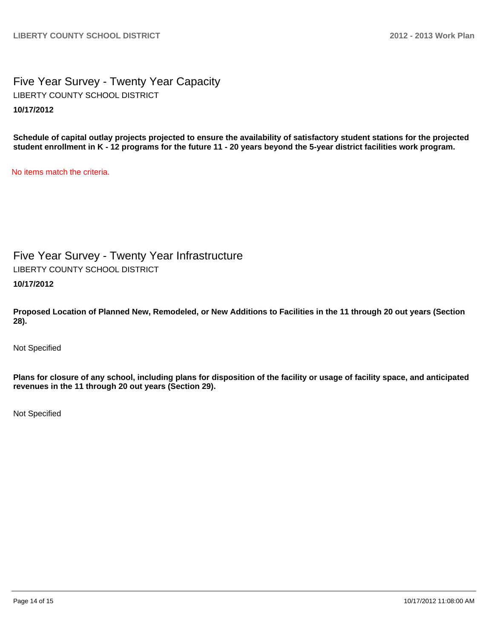Five Year Survey - Twenty Year Capacity **10/17/2012** LIBERTY COUNTY SCHOOL DISTRICT

**Schedule of capital outlay projects projected to ensure the availability of satisfactory student stations for the projected student enrollment in K - 12 programs for the future 11 - 20 years beyond the 5-year district facilities work program.**

No items match the criteria.

Five Year Survey - Twenty Year Infrastructure **10/17/2012** LIBERTY COUNTY SCHOOL DISTRICT

**Proposed Location of Planned New, Remodeled, or New Additions to Facilities in the 11 through 20 out years (Section 28).**

Not Specified

**Plans for closure of any school, including plans for disposition of the facility or usage of facility space, and anticipated revenues in the 11 through 20 out years (Section 29).**

Not Specified